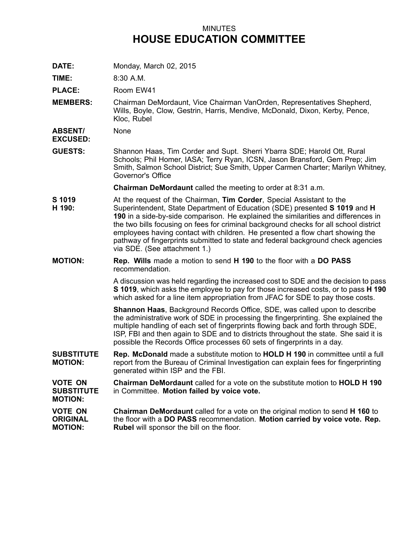## MINUTES **HOUSE EDUCATION COMMITTEE**

**DATE:** Monday, March 02, 2015

**TIME:** 8:30 A.M.

**PLACE:** Room EW41

**MEMBERS:** Chairman DeMordaunt, Vice Chairman VanOrden, Representatives Shepherd, Wills, Boyle, Clow, Gestrin, Harris, Mendive, McDonald, Dixon, Kerby, Pence, Kloc, Rubel

**ABSENT/** None

**EXCUSED:**

**GUESTS:** Shannon Haas, Tim Corder and Supt. Sherri Ybarra SDE; Harold Ott, Rural Schools; Phil Homer, IASA; Terry Ryan, ICSN, Jason Bransford, Gem Prep; Jim Smith, Salmon School District; Sue Smith, Upper Carmen Charter; Marilyn Whitney, Governor's Office

**Chairman DeMordaunt** called the meeting to order at 8:31 a.m.

- **S 1019** At the request of the Chairman, **Tim Corder**, Special Assistant to the
- **H 190:** Superintendent, State Department of Education (SDE) presented **S 1019** and **H 190** in <sup>a</sup> side-by-side comparison. He explained the similarities and differences in the two bills focusing on fees for criminal background checks for all school district employees having contact with children. He presented <sup>a</sup> flow chart showing the pathway of fingerprints submitted to state and federal background check agencies via SDE. (See attachment 1.)
- **MOTION: Rep. Wills** made <sup>a</sup> motion to send **H 190** to the floor with <sup>a</sup> **DO PASS** recommendation.

A discussion was held regarding the increased cost to SDE and the decision to pass **S 1019**, which asks the employee to pay for those increased costs, or to pass **H 190** which asked for <sup>a</sup> line item appropriation from JFAC for SDE to pay those costs.

**Shannon Haas**, Background Records Office, SDE, was called upon to describe the administrative work of SDE in processing the fingerprinting. She explained the multiple handling of each set of fingerprints flowing back and forth through SDE, ISP, FBI and then again to SDE and to districts throughout the state. She said it is possible the Records Office processes 60 sets of fingerprints in <sup>a</sup> day.

**SUBSTITUTE MOTION: Rep. McDonald** made <sup>a</sup> substitute motion to **HOLD H 190** in committee until <sup>a</sup> full report from the Bureau of Criminal Investigation can explain fees for fingerprinting generated within ISP and the FBI.

**VOTE ON SUBSTITUTE MOTION: Chairman DeMordaunt** called for a vote on the substitute motion to **HOLD H 190** in Committee. **Motion failed by voice vote.**

| <b>VOTE ON</b>  | <b>Chairman DeMordaunt</b> called for a vote on the original motion to send <b>H 160</b> to |
|-----------------|---------------------------------------------------------------------------------------------|
| <b>ORIGINAL</b> | the floor with a DO PASS recommendation. Motion carried by voice vote. Rep.                 |
| <b>MOTION:</b>  | <b>Rubel</b> will sponsor the bill on the floor.                                            |